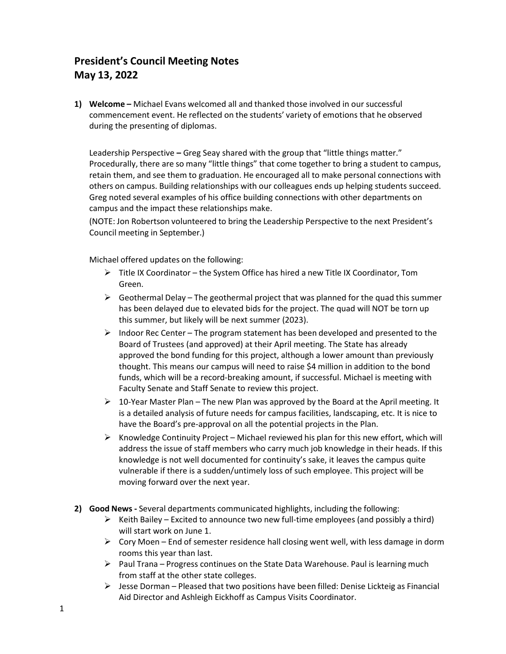## **President's Council Meeting Notes May 13, 2022**

**1) Welcome –** Michael Evans welcomed all and thanked those involved in our successful commencement event. He reflected on the students' variety of emotions that he observed during the presenting of diplomas.

Leadership Perspective **–** Greg Seay shared with the group that "little things matter." Procedurally, there are so many "little things" that come together to bring a student to campus, retain them, and see them to graduation. He encouraged all to make personal connections with others on campus. Building relationships with our colleagues ends up helping students succeed. Greg noted several examples of his office building connections with other departments on campus and the impact these relationships make.

(NOTE: Jon Robertson volunteered to bring the Leadership Perspective to the next President's Council meeting in September.)

Michael offered updates on the following:

- $\triangleright$  Title IX Coordinator the System Office has hired a new Title IX Coordinator, Tom Green.
- $\triangleright$  Geothermal Delay The geothermal project that was planned for the quad this summer has been delayed due to elevated bids for the project. The quad will NOT be torn up this summer, but likely will be next summer (2023).
- $\triangleright$  Indoor Rec Center The program statement has been developed and presented to the Board of Trustees (and approved) at their April meeting. The State has already approved the bond funding for this project, although a lower amount than previously thought. This means our campus will need to raise \$4 million in addition to the bond funds, which will be a record-breaking amount, if successful. Michael is meeting with Faculty Senate and Staff Senate to review this project.
- $\triangleright$  10-Year Master Plan The new Plan was approved by the Board at the April meeting. It is a detailed analysis of future needs for campus facilities, landscaping, etc. It is nice to have the Board's pre-approval on all the potential projects in the Plan.
- $\triangleright$  Knowledge Continuity Project Michael reviewed his plan for this new effort, which will address the issue of staff members who carry much job knowledge in their heads. If this knowledge is not well documented for continuity's sake, it leaves the campus quite vulnerable if there is a sudden/untimely loss of such employee. This project will be moving forward over the next year.
- **2) Good News -** Several departments communicated highlights, including the following:
	- $\triangleright$  Keith Bailey Excited to announce two new full-time employees (and possibly a third) will start work on June 1.
	- $\triangleright$  Cory Moen End of semester residence hall closing went well, with less damage in dorm rooms this year than last.
	- $\triangleright$  Paul Trana Progress continues on the State Data Warehouse. Paul is learning much from staff at the other state colleges.
	- $\triangleright$  Jesse Dorman Pleased that two positions have been filled: Denise Lickteig as Financial Aid Director and Ashleigh Eickhoff as Campus Visits Coordinator.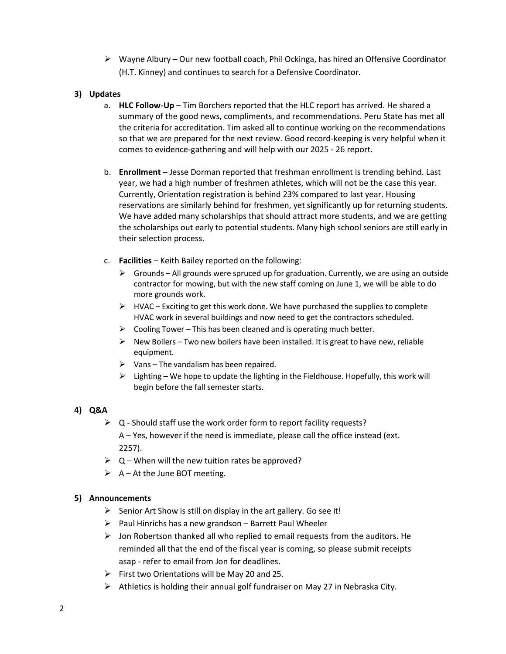$\triangleright$  Wayne Albury – Our new football coach, Phil Ockinga, has hired an Offensive Coordinator (H.T. Kinney) and continues to search for a Defensive Coordinator.

## **3) Updates**

- a. **HLC Follow-Up**  Tim Borchers reported that the HLC report has arrived. He shared a summary of the good news, compliments, and recommendations. Peru State has met all the criteria for accreditation. Tim asked all to continue working on the recommendations so that we are prepared for the next review. Good record-keeping is very helpful when it comes to evidence-gathering and will help with our 2025 - 26 report.
- b. **Enrollment –** Jesse Dorman reported that freshman enrollment is trending behind. Last year, we had a high number of freshmen athletes, which will not be the case this year. Currently, Orientation registration is behind 23% compared to last year. Housing reservations are similarly behind for freshmen, yet significantly up for returning students. We have added many scholarships that should attract more students, and we are getting the scholarships out early to potential students. Many high school seniors are still early in their selection process.
- c. **Facilities** Keith Bailey reported on the following:
	- $\triangleright$  Grounds All grounds were spruced up for graduation. Currently, we are using an outside contractor for mowing, but with the new staff coming on June 1, we will be able to do more grounds work.
	- $\triangleright$  HVAC Exciting to get this work done. We have purchased the supplies to complete HVAC work in several buildings and now need to get the contractors scheduled.
	- $\triangleright$  Cooling Tower This has been cleaned and is operating much better.
	- $\triangleright$  New Boilers Two new boilers have been installed. It is great to have new, reliable equipment.
	- $\triangleright$  Vans The vandalism has been repaired.
	- $\triangleright$  Lighting We hope to update the lighting in the Fieldhouse. Hopefully, this work will begin before the fall semester starts.

## **4) Q&A**

- $\triangleright$  Q Should staff use the work order form to report facility requests? A – Yes, however if the need is immediate, please call the office instead (ext. 2257).
- $\triangleright$  Q When will the new tuition rates be approved?
- $\triangleright$  A At the June BOT meeting.

## **5) Announcements**

- $\triangleright$  Senior Art Show is still on display in the art gallery. Go see it!
- $\triangleright$  Paul Hinrichs has a new grandson Barrett Paul Wheeler
- $\triangleright$  Jon Robertson thanked all who replied to email requests from the auditors. He reminded all that the end of the fiscal year is coming, so please submit receipts asap - refer to email from Jon for deadlines.
- $\triangleright$  First two Orientations will be May 20 and 25.
- $\triangleright$  Athletics is holding their annual golf fundraiser on May 27 in Nebraska City.